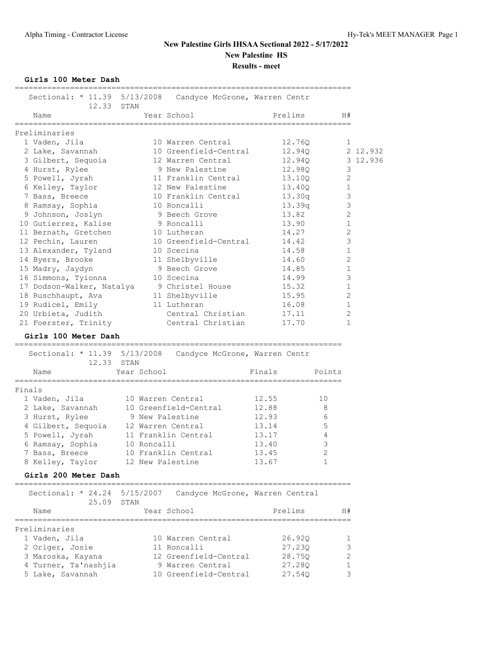**Girls 100 Meter Dash**

| Sectional: * 11.39 5/13/2008<br>12.33<br>STAN<br>Year School<br>Name<br>Preliminaries | Candyce McGrone, Warren Centr<br>Prelims                           |                  |          |
|---------------------------------------------------------------------------------------|--------------------------------------------------------------------|------------------|----------|
|                                                                                       |                                                                    |                  |          |
|                                                                                       |                                                                    | H#               |          |
|                                                                                       |                                                                    |                  |          |
| 1 Vaden, Jila<br>10 Warren Central                                                    | 12.760                                                             | 1                |          |
| 2 Lake, Savannah<br>10 Greenfield-Central                                             | 12.94Q                                                             |                  | 2 12.932 |
| 3 Gilbert, Sequoia<br>12 Warren Central                                               | 12.94Q                                                             |                  | 3 12.936 |
| 9 New Palestine<br>4 Hurst, Rylee                                                     | 12.98Q                                                             | 3                |          |
| 11 Franklin Central<br>5 Powell, Jyrah                                                | 13.10Q                                                             | 2                |          |
| 6 Kelley, Taylor<br>12 New Palestine                                                  | 13.40Q                                                             | 1                |          |
| 7 Bass, Breece<br>10 Franklin Central                                                 | 13.30q                                                             | 3                |          |
| 8 Ramsay, Sophia<br>10 Roncalli                                                       | 13.39q                                                             | 3                |          |
| 9 Johnson, Joslyn<br>9 Beech Grove                                                    | 13.82                                                              | 2                |          |
| 10 Gutierrez, Kalise<br>9 Roncalli                                                    | 13.90                                                              | 1                |          |
| 11 Bernath, Gretchen<br>10 Lutheran                                                   | 14.27                                                              | 2                |          |
| 10 Greenfield-Central<br>12 Pechin, Lauren                                            | 14.42                                                              | 3                |          |
| 10 Scecina                                                                            | 14.58                                                              | 1                |          |
| 13 Alexander, Tyland                                                                  | 14.60                                                              | $\overline{c}$   |          |
| 14 Byers, Brooke<br>11 Shelbyville                                                    | 14.85                                                              |                  |          |
| 15 Madry, Jaydyn<br>9 Beech Grove                                                     |                                                                    | 1                |          |
| 16 Simmons, Tyionna<br>10 Scecina                                                     | 14.99                                                              | 3                |          |
| 17 Dodson-Walker, Natalya<br>9 Christel House                                         | 15.32                                                              | 1                |          |
| 11 Shelbyville<br>18 Ruschhaupt, Ava                                                  | 15.95                                                              | 2                |          |
| 19 Rudicel, Emily<br>11 Lutheran                                                      | 16.08                                                              | 1                |          |
| Central Christian<br>20 Urbieta, Judith                                               | 17.11                                                              | 2                |          |
| Central Christian<br>21 Foerster, Trinity                                             | 17.70                                                              | 1                |          |
| Girls 100 Meter Dash                                                                  |                                                                    |                  |          |
| -------------------------<br>Sectional: * 11.39 5/13/2008                             | =================================<br>Candyce McGrone, Warren Centr |                  |          |
| 12.33<br>STAN                                                                         |                                                                    |                  |          |
| Year School<br>Name                                                                   | Finals                                                             | Points           |          |
| Finals                                                                                |                                                                    |                  |          |
| 1 Vaden, Jila<br>10 Warren Central                                                    | 12.55<br>10                                                        |                  |          |
| 2 Lake, Savannah<br>10 Greenfield-Central                                             | 12.88<br>8                                                         |                  |          |
| 3 Hurst, Rylee<br>9 New Palestine                                                     | 12.93<br>6                                                         |                  |          |
| 4 Gilbert, Sequoia<br>12 Warren Central                                               | 5<br>13.14                                                         |                  |          |
| 5 Powell, Jyrah<br>11 Franklin Central                                                | 13.17<br>4                                                         |                  |          |
| 6 Ramsay, Sophia<br>10 Roncalli                                                       | 3<br>13.40                                                         |                  |          |
| 10 Franklin Central                                                                   |                                                                    |                  |          |
| 7 Bass, Breece<br>8 Kelley, Taylor<br>12 New Palestine                                | 13.45<br>2<br>13.67<br>1                                           |                  |          |
| Girls 200 Meter Dash                                                                  |                                                                    |                  |          |
|                                                                                       |                                                                    |                  |          |
| Sectional: * 24.24 5/15/2007<br>25.09 STAN                                            | Candyce McGrone, Warren Central                                    |                  |          |
| Year School<br>Name                                                                   | Prelims                                                            | H#               |          |
|                                                                                       | ====================                                               |                  |          |
| ----------------------<br>=============================                               |                                                                    |                  |          |
| Preliminaries                                                                         |                                                                    |                  |          |
| 10 Warren Central<br>1 Vaden, Jila                                                    | 26.92Q                                                             | 1                |          |
| 2 Origer, Josie<br>11 Roncalli                                                        | 27.230                                                             | 3                |          |
| 12 Greenfield-Central<br>3 Maroska, Kayana                                            | 28.75Q                                                             | $\mathbf{2}$     |          |
| 4 Turner, Ta'nashjia<br>9 Warren Central<br>10 Greenfield-Central<br>5 Lake, Savannah | 27.28Q<br>27.54Q                                                   | $\mathbf 1$<br>3 |          |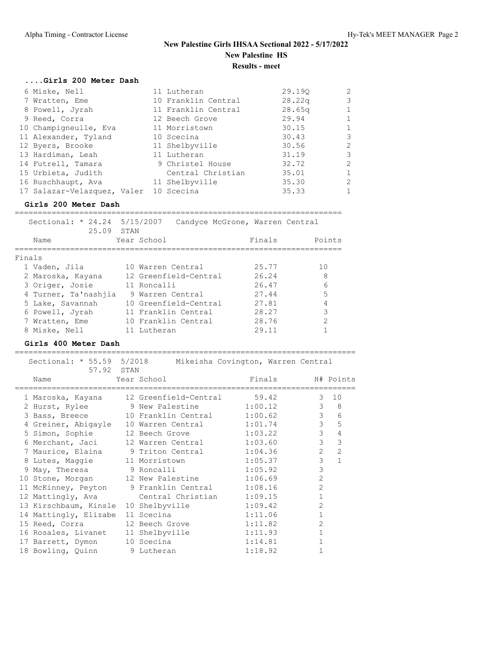| Girls 200 Meter Dash                   |                     |                    |                |
|----------------------------------------|---------------------|--------------------|----------------|
| 6 Miske, Nell                          | 11 Lutheran         | 29.190             | $\overline{2}$ |
| 7 Wratten, Eme                         | 10 Franklin Central | 28.22 <sub>q</sub> | $\mathcal{E}$  |
| 8 Powell, Jyrah                        | 11 Franklin Central | 28.65q             | $\mathbf{1}$   |
| 9 Reed, Corra                          | 12 Beech Grove      | 29.94              | $\mathbf{1}$   |
| 10 Champigneulle, Eva                  | 11 Morristown       | 30.15              | $\mathbf{1}$   |
| 11 Alexander, Tyland                   | 10 Scecina          | 30.43              | 3              |
| 12 Byers, Brooke                       | 11 Shelbyville      | 30.56              | $\overline{2}$ |
| 13 Hardiman, Leah                      | 11 Lutheran         | 31.19              | 3              |
| 14 Futrell, Tamara                     | 9 Christel House    | 32.72              | $\overline{2}$ |
| 15 Urbieta, Judith                     | Central Christian   | 35.01              | $\mathbf{1}$   |
| 16 Ruschhaupt, Ava                     | 11 Shelbyville      | 35.30              | $\overline{2}$ |
| 17 Salazar-Velazquez, Valer 10 Scecina |                     | 35.33              | 1              |

### **Girls 200 Meter Dash**

| Sectional: * 24.24 5/15/2007<br>25.09 STAN |                       | Candyce McGrone, Warren Central |                |
|--------------------------------------------|-----------------------|---------------------------------|----------------|
| Name                                       | Year School           | Finals                          | Points         |
|                                            |                       |                                 |                |
| Finals                                     |                       |                                 |                |
| 1 Vaden, Jila                              | 10 Warren Central     | 25.77                           | 1 <sub>0</sub> |
| 2 Maroska, Kayana                          | 12 Greenfield-Central | 26.24                           | 8              |
| 3 Origer, Josie                            | 11 Roncalli           | 26.47                           | 6              |
| 4 Turner, Ta'nashjia                       | 9 Warren Central      | 27.44                           | 5              |
| 5 Lake, Savannah                           | 10 Greenfield-Central | 27.81                           | 4              |
| 6 Powell, Jyrah                            | 11 Franklin Central   | 28.27                           | 3              |
| 7 Wratten, Eme                             | 10 Franklin Central   | 28.76                           | 2              |
| 8 Miske, Nell                              | 11 Lutheran           | 29.11                           |                |

### **Girls 400 Meter Dash**

| Sectional: * 55.59 5/2018 Mikeisha Covington, Warren Central |    |                             |         |        |                |                |
|--------------------------------------------------------------|----|-----------------------------|---------|--------|----------------|----------------|
| 57.92 STAN<br>Name                                           |    | Year School                 |         | Finals |                | H# Points      |
| 1 Maroska, Kayana                                            |    | 12 Greenfield-Central 59.42 |         |        | 3              | 10             |
| 2 Hurst, Rylee 9 New Palestine 1:00.12                       |    |                             |         |        | $\mathbf{3}$   | 8              |
| 3 Bass, Breece 10 Franklin Central 1:00.62                   |    |                             |         |        | $\mathcal{S}$  | 6              |
| 4 Greiner, Abigayle                                          | 10 | Warren Central 1:01.74      |         |        | $\mathcal{S}$  | 5              |
| 5 Simon, Sophie                                              |    | 12 Beech Grove 1:03.22      |         |        | $\mathcal{S}$  | $\overline{4}$ |
| 6 Merchant, Jaci                                             |    | 12 Warren Central 1:03.60   |         |        | $\mathcal{E}$  | 3              |
| 7 Maurice, Elaina 9 Triton Central 1:04.36                   |    |                             |         |        | $\overline{2}$ | $\overline{2}$ |
| 8 Lutes, Maggie 11 Morristown 1:05.37                        |    |                             |         |        | $\mathcal{E}$  | $\mathbf{1}$   |
| 9 May, Theresa 5 9 Roncalli 1:05.92                          |    |                             |         |        | 3              |                |
| 10 Stone, Morgan 12 New Palestine 1:06.69                    |    |                             |         |        | $\overline{2}$ |                |
| 11 McKinney, Peyton 9 Franklin Central 1:08.16               |    |                             |         |        | $\overline{2}$ |                |
| 12 Mattingly, Ava                                            |    | Central Christian 1:09.15   |         |        | $\mathbf{1}$   |                |
| 13 Kirschbaum, Kinsle                                        |    | 10 Shelbyville              | 1:09.42 |        | $\overline{2}$ |                |
| 14 Mattingly, Elizabe                                        |    | 11 Scecina                  | 1:11.06 |        | $\mathbf{1}$   |                |
| 15 Reed, Corra                                               |    | 12 Beech Grove              | 1:11.82 |        | $\overline{2}$ |                |
| 16 Rosales, Livanet                                          |    | 11 Shelbyville              | 1:11.93 |        | $\mathbf{1}$   |                |
| 17 Barrett, Dymon                                            |    | 10 Scecina                  | 1:14.81 |        | $\mathbf{1}$   |                |
| 18 Bowling, Quinn 9 Lutheran                                 |    |                             | 1:18.92 |        |                |                |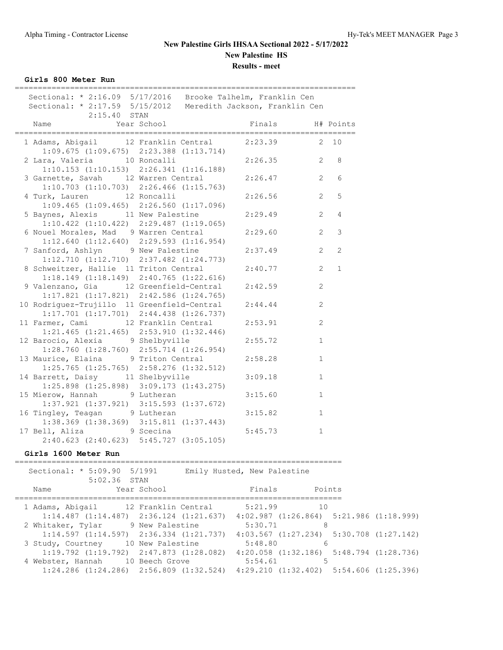| Girls 800 Meter Run                                                                                                                            |                                                 |                  |                |                  |
|------------------------------------------------------------------------------------------------------------------------------------------------|-------------------------------------------------|------------------|----------------|------------------|
| Sectional: * 2:16.09 5/17/2016 Brooke Talhelm, Franklin Cen<br>Sectional: * 2:17.59 5/15/2012 Meredith Jackson, Franklin Cen<br>$2:15.40$ STAN |                                                 |                  |                |                  |
| Name                                                                                                                                           | Year School                                     | Finals H# Points |                |                  |
| 1 Adams, Abigail 12 Franklin Central                                                                                                           |                                                 | $2:23.39$ 2 10   |                |                  |
| 2 Lara, Valeria 10 Roncalli<br>$1:10.153$ $(1:10.153)$ $2:26.341$ $(1:16.188)$                                                                 | $1:09.675$ $(1:09.675)$ $2:23.388$ $(1:13.714)$ | $2:26.35$ 2 8    |                |                  |
| 3 Garnette, Savah 12 Warren Central<br>$1:10.703$ $(1:10.703)$ $2:26.466$ $(1:15.763)$                                                         |                                                 | 2:26.47          |                | $2^{\circ}$<br>6 |
| 4 Turk, Lauren 12 Roncalli<br>$1:09.465$ $(1:09.465)$ $2:26.560$ $(1:17.096)$                                                                  |                                                 | 2:26.56          | 2              | 5                |
| 5 Baynes, Alexis 11 New Palestine<br>$1:10.422$ $(1:10.422)$ $2:29.487$ $(1:19.065)$                                                           |                                                 | 2:29.49          | 2              | $\overline{4}$   |
| 6 Nouel Morales, Mad 9 Warren Central<br>$1:12.640$ $(1:12.640)$ $2:29.593$ $(1:16.954)$                                                       |                                                 | 2:29.60          | 2              | 3                |
| 7 Sanford, Ashlyn 9 New Palestine<br>$1:12.710$ $(1:12.710)$ $2:37.482$ $(1:24.773)$                                                           |                                                 | 2:37.49          | $\overline{2}$ | $\overline{2}$   |
| 8 Schweitzer, Hallie 11 Triton Central<br>$1:18.149$ $(1:18.149)$ $2:40.765$ $(1:22.616)$                                                      |                                                 | 2:40.77          | 2              | $\mathbf{1}$     |
| 9 Valenzano, Gia 12 Greenfield-Central<br>$1:17.821$ $(1:17.821)$ $2:42.586$ $(1:24.765)$                                                      |                                                 | 2:42.59          | 2              |                  |
| 10 Rodriguez-Trujillo 11 Greenfield-Central<br>$1:17.701$ $(1:17.701)$ $2:44.438$ $(1:26.737)$                                                 |                                                 | 2:44.44          | 2              |                  |
| 11 Farmer, Cami 12 Franklin Central<br>$1:21.465$ $(1:21.465)$ $2:53.910$ $(1:32.446)$                                                         |                                                 | 2:53.91          | $\mathbf{2}$   |                  |
| 12 Barocio, Alexia 9 Shelbyville<br>$1:28.760$ $(1:28.760)$ $2:55.714$ $(1:26.954)$                                                            |                                                 | 2:55.72          | $\mathbf{1}$   |                  |
| 13 Maurice, Elaina 9 Triton Central<br>$1:25.765$ $(1:25.765)$ $2:58.276$ $(1:32.512)$                                                         |                                                 | 2:58.28          | $\mathbf{1}$   |                  |
| 14 Barrett, Daisy 11 Shelbyville<br>$1:25.898$ $(1:25.898)$ $3:09.173$ $(1:43.275)$                                                            |                                                 | 3:09.18          | $\mathbf{1}$   |                  |
| 15 Mierow, Hannah 9 Lutheran<br>$1:37.921$ $(1:37.921)$ $3:15.593$ $(1:37.672)$                                                                |                                                 | 3:15.60          | $\mathbf{1}$   |                  |
| 16 Tingley, Teagan 9 Lutheran<br>$1:38.369$ $(1:38.369)$ $3:15.811$ $(1:37.443)$                                                               |                                                 | 3:15.82          | $\mathbf{1}$   |                  |
| 17 Bell, Aliza 9 Scecina<br>$2:40.623$ $(2:40.623)$ $5:45.727$ $(3:05.105)$                                                                    |                                                 | 5:45.73          | $\mathbf{1}$   |                  |

### **Girls 1600 Meter Run**

| Sectional: * 5:09.90 5/1991<br>$5:02.36$ STAN                                                   |                  | Emily Husted, New Palestine |                                                 |  |
|-------------------------------------------------------------------------------------------------|------------------|-----------------------------|-------------------------------------------------|--|
| Name                                                                                            | Year School      | Finals                      | Points                                          |  |
| 1 Adams, Abigail 12 Franklin Central                                                            |                  | 5:21.99                     | 10                                              |  |
| $1:14.487$ $(1:14.487)$ $2:36.124$ $(1:21.637)$ $4:02.987$ $(1:26.864)$ $5:21.986$ $(1:18.999)$ |                  |                             |                                                 |  |
| 2 Whitaker, Tylar 9 New Palestine                                                               |                  | 5:30.71                     | 8                                               |  |
| $1:14.597$ $(1:14.597)$ $2:36.334$ $(1:21.737)$ $4:03.567$ $(1:27.234)$ $5:30.708$ $(1:27.142)$ |                  |                             |                                                 |  |
| 3 Study, Courtney                                                                               | 10 New Palestine | 5:48.80                     | 6                                               |  |
| $1:19.792$ $(1:19.792)$ $2:47.873$ $(1:28.082)$                                                 |                  |                             | $4:20.058$ $(1:32.186)$ $5:48.794$ $(1:28.736)$ |  |
| 4 Webster, Hannah 10 Beech Grove                                                                |                  | 5:54.61                     | 5                                               |  |
| $1:24.286$ (1:24.286) 2:56.809 (1:32.524) 4:29.210 (1:32.402) 5:54.606 (1:25.396)               |                  |                             |                                                 |  |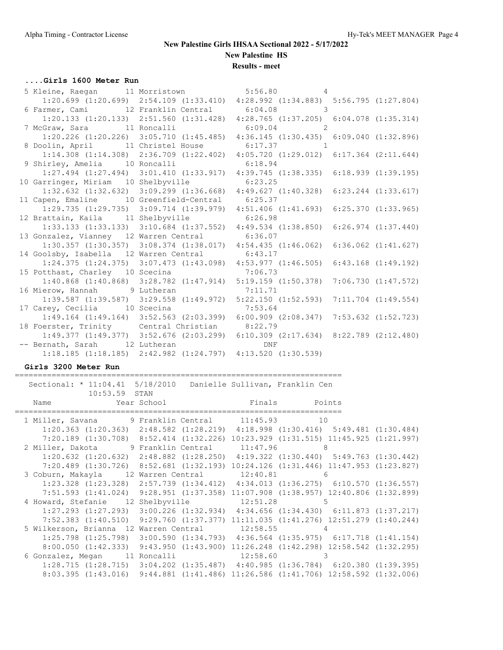**Results - meet**

### **....Girls 1600 Meter Run**

| 5 Kleine, Raegan 11 Morristown 5:56.80 4                          |                                                                                                 |  |
|-------------------------------------------------------------------|-------------------------------------------------------------------------------------------------|--|
|                                                                   | 1:20.699 (1:20.699) 2:54.109 (1:33.410) 4:28.992 (1:34.883) 5:56.795 (1:27.804)                 |  |
| 6 Farmer, Cami 12 Franklin Central 6:04.08 3                      |                                                                                                 |  |
|                                                                   | 1:20.133 (1:20.133) 2:51.560 (1:31.428) 4:28.765 (1:37.205) 6:04.078 (1:35.314)                 |  |
| 7 McGraw, Sara $11$ Roncalli $6:09.04$ 2                          |                                                                                                 |  |
|                                                                   | 1:20.226 (1:20.226) 3:05.710 (1:45.485) 4:36.145 (1:30.435) 6:09.040 (1:32.896)                 |  |
| 8 Doolin, April 11 Christel House 6:17.37 1                       |                                                                                                 |  |
|                                                                   | 1:14.308 (1:14.308) 2:36.709 (1:22.402) 4:05.720 (1:29.012) 6:17.364 (2:11.644)                 |  |
| 9 Shirley, Amelia 10 Roncalli 6:18.94                             |                                                                                                 |  |
|                                                                   | $1:27.494$ $(1:27.494)$ $3:01.410$ $(1:33.917)$ $4:39.745$ $(1:38.335)$ $6:18.939$ $(1:39.195)$ |  |
| 10 Garringer, Miriam 10 Shelbyville 6:23.25                       |                                                                                                 |  |
|                                                                   | $1:32.632$ $(1:32.632)$ $3:09.299$ $(1:36.668)$ $4:49.627$ $(1:40.328)$ $6:23.244$ $(1:33.617)$ |  |
| 11 Capen, Emaline 10 Greenfield-Central 6:25.37                   |                                                                                                 |  |
|                                                                   | 1:29.735 (1:29.735) 3:09.714 (1:39.979) 4:51.406 (1:41.693) 6:25.370 (1:33.965)                 |  |
| 12 Brattain, Kaila 11 Shelbyville 6:26.98                         |                                                                                                 |  |
|                                                                   | 1:33.133 (1:33.133) 3:10.684 (1:37.552) 4:49.534 (1:38.850) 6:26.974 (1:37.440)                 |  |
| 13 Gonzalez, Vianney 12 Warren Central 6:36.07                    |                                                                                                 |  |
|                                                                   | 1:30.357 (1:30.357) 3:08.374 (1:38.017) 4:54.435 (1:46.062) 6:36.062 (1:41.627)                 |  |
| 14 Goolsby, Isabella 12 Warren Central 6:43.17                    |                                                                                                 |  |
|                                                                   | 1:24.375 (1:24.375) 3:07.473 (1:43.098) 4:53.977 (1:46.505) 6:43.168 (1:49.192)                 |  |
| 15 Potthast, Charley 10 Scecina 7:06.73                           |                                                                                                 |  |
|                                                                   | 1:40.868 (1:40.868) 3:28.782 (1:47.914) 5:19.159 (1:50.378) 7:06.730 (1:47.572)                 |  |
| 16 Mierow, Hannah 9 Lutheran 16 Mierow, 7:11.71                   |                                                                                                 |  |
|                                                                   | 1:39.587 (1:39.587) 3:29.558 (1:49.972) 5:22.150 (1:52.593) 7:11.704 (1:49.554)                 |  |
| 17 Carey, Cecilia 10 Scecina 17 Carey, Cecilia                    |                                                                                                 |  |
|                                                                   | 1:49.164 (1:49.164) 3:52.563 (2:03.399) 6:00.909 (2:08.347) 7:53.632 (1:52.723)                 |  |
| 18 Foerster, Trinity Central Christian 8:22.79                    |                                                                                                 |  |
|                                                                   | 1:49.377 (1:49.377) 3:52.676 (2:03.299) 6:10.309 (2:17.634) 8:22.789 (2:12.480)                 |  |
| -- Bernath, Sarah 12 Lutheran                                     | <b>DNF</b>                                                                                      |  |
| $1:18.185$ (1:18.185) $2:42.982$ (1:24.797) $4:13.520$ (1:30.539) |                                                                                                 |  |

### **Girls 3200 Meter Run**

======================================================================= Sectional: \* 11:04.41 5/18/2010 Danielle Sullivan, Franklin Cen 10:53.59 STAN Name Year School **Finals** Points ======================================================================= 1 Miller, Savana 19 Franklin Central 11:45.93 10 1:20.363 (1:20.363) 2:48.582 (1:28.219) 4:18.998 (1:30.416) 5:49.481 (1:30.484) 7:20.189 (1:30.708) 8:52.414 (1:32.226) 10:23.929 (1:31.515) 11:45.925 (1:21.997) 2 Miller, Dakota 9 Franklin Central 11:47.96 8 1:20.632 (1:20.632) 2:48.882 (1:28.250) 4:19.322 (1:30.440) 5:49.763 (1:30.442) 7:20.489 (1:30.726) 8:52.681 (1:32.193) 10:24.126 (1:31.446) 11:47.953 (1:23.827) 3 Coburn, Makayla 12 Warren Central 12:40.81 6 1:23.328 (1:23.328) 2:57.739 (1:34.412) 4:34.013 (1:36.275) 6:10.570 (1:36.557) 7:51.593 (1:41.024) 9:28.951 (1:37.358) 11:07.908 (1:38.957) 12:40.806 (1:32.899) 4 Howard, Stefanie 12 Shelbyville 12:51.28 5 1:27.293 (1:27.293) 3:00.226 (1:32.934) 4:34.656 (1:34.430) 6:11.873 (1:37.217) 7:52.383 (1:40.510) 9:29.760 (1:37.377) 11:11.035 (1:41.276) 12:51.279 (1:40.244) 5 Wilkerson, Brianna 12 Warren Central 12:58.55 4 1:25.798 (1:25.798) 3:00.590 (1:34.793) 4:36.564 (1:35.975) 6:17.718 (1:41.154) 8:00.050 (1:42.333) 9:43.950 (1:43.900) 11:26.248 (1:42.298) 12:58.542 (1:32.295) 6 Gonzalez, Megan 11 Roncalli 12:58.60 3 1:28.715 (1:28.715) 3:04.202 (1:35.487) 4:40.985 (1:36.784) 6:20.380 (1:39.395) 8:03.395 (1:43.016) 9:44.881 (1:41.486) 11:26.586 (1:41.706) 12:58.592 (1:32.006)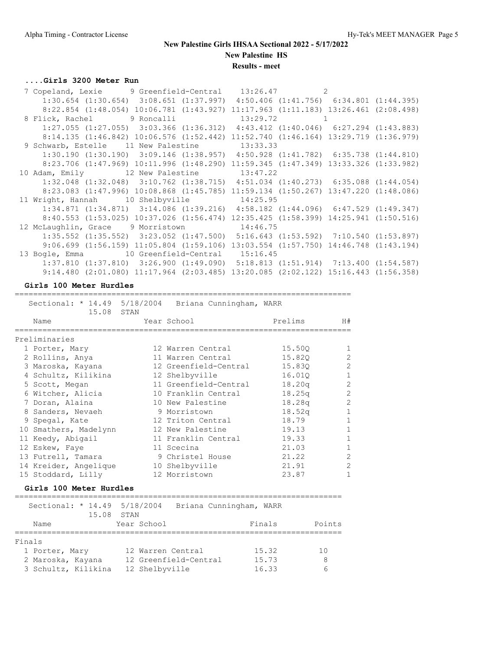### **....Girls 3200 Meter Run**

|  | 7 Copeland, Lexie 9 Greenfield-Central 13:26.47 2                                                  |  |              |  |
|--|----------------------------------------------------------------------------------------------------|--|--------------|--|
|  | $1:30.654$ $(1:30.654)$ $3:08.651$ $(1:37.997)$ $4:50.406$ $(1:41.756)$ $6:34.801$ $(1:44.395)$    |  |              |  |
|  | 8:22.854 (1:48.054) 10:06.781 (1:43.927) 11:17.963 (1:11.183) 13:26.461 (2:08.498)                 |  |              |  |
|  | 8 Flick, Rachel 9 Roncalli                                                                         |  | $13:29.72$ 1 |  |
|  | $1:27.055$ $(1:27.055)$ $3:03.366$ $(1:36.312)$ $4:43.412$ $(1:40.046)$ $6:27.294$ $(1:43.883)$    |  |              |  |
|  | $8:14.135$ $(1:46.842)$ $10:06.576$ $(1:52.442)$ $11:52.740$ $(1:46.164)$ $13:29.719$ $(1:36.979)$ |  |              |  |
|  | 9 Schwarb, Estelle 11 New Palestine 13:33.33                                                       |  |              |  |
|  | $1:30.190$ $(1:30.190)$ $3:09.146$ $(1:38.957)$ $4:50.928$ $(1:41.782)$ $6:35.738$ $(1:44.810)$    |  |              |  |
|  | 8:23.706 (1:47.969) 10:11.996 (1:48.290) 11:59.345 (1:47.349) 13:33.326 (1:33.982)                 |  |              |  |
|  | 10 Adam, Emily 12 New Palestine 13:47.22                                                           |  |              |  |
|  | 1:32.048 (1:32.048) 3:10.762 (1:38.715) 4:51.034 (1:40.273) 6:35.088 (1:44.054)                    |  |              |  |
|  | 8:23.083 (1:47.996) 10:08.868 (1:45.785) 11:59.134 (1:50.267) 13:47.220 (1:48.086)                 |  |              |  |
|  | 11 Wright, Hannah 10 Shelbyville 14:25.95                                                          |  |              |  |
|  | $1:34.871$ $(1:34.871)$ $3:14.086$ $(1:39.216)$ $4:58.182$ $(1:44.096)$ $6:47.529$ $(1:49.347)$    |  |              |  |
|  | 8:40.553 (1:53.025) 10:37.026 (1:56.474) 12:35.425 (1:58.399) 14:25.941 (1:50.516)                 |  |              |  |
|  | 12 McLaughlin, Grace 9 Morristown 14:46.75                                                         |  |              |  |
|  | $1:35.552$ $(1:35.552)$ $3:23.052$ $(1:47.500)$ $5:16.643$ $(1:53.592)$ $7:10.540$ $(1:53.897)$    |  |              |  |
|  | $9:06.699$ $(1:56.159)$ $11:05.804$ $(1:59.106)$ $13:03.554$ $(1:57.750)$ $14:46.748$ $(1:43.194)$ |  |              |  |
|  | 13 Bogle, Emma 10 Greenfield-Central 15:16.45                                                      |  |              |  |
|  | $1:37.810$ $(1:37.810)$ $3:26.900$ $(1:49.090)$ $5:18.813$ $(1:51.914)$ $7:13.400$ $(1:54.587)$    |  |              |  |
|  | $9:14.480$ (2:01.080) 11:17.964 (2:03.485) 13:20.085 (2:02.122) 15:16.443 (1:56.358)               |  |              |  |

**Girls 100 Meter Hurdles**

 Sectional: \* 14.49 5/18/2004 Briana Cunningham, WARR 15.08 STAN Name Year School Prelims H# ========================================================================= Preliminaries 1 Porter, Mary 12 Warren Central 15.50Q 1 2 Rollins, Anya 11 Warren Central 15.82Q 2 3 Maroska, Kayana 12 Greenfield-Central 15.83Q 2 4 Schultz, Kilikina 12 Shelbyville 16.01Q 1 5 Scott, Megan 11 Greenfield-Central 18.20q 2 6 Witcher, Alicia 10 Franklin Central 18.25q 2 7 Doran, Alaina 10 New Palestine 18.28q 2 8 Sanders, Nevaeh 19 Morristown 18.52q 1 9 Spegal, Kate 12 Triton Central 18.79 1 10 Smathers, Madelynn 12 New Palestine 19.13 1 11 Keedy, Abigail 11 Franklin Central 19.33 1 12 Eskew, Faye 11 Scecina 21.03 1 13 Futrell, Tamara  $\begin{array}{ccc} 9 \text{ Christel House} & 21.22 \end{array}$  2 14 Kreider, Angelique 10 Shelbyville 21.91 2 15 Stoddard, Lilly 12 Morristown 23.87 1

=========================================================================

### **Girls 100 Meter Hurdles**

| Sectional: * 14.49 5/18/2004<br>15.08 | Briana Cunningham, WARR<br>STAN            |                |         |
|---------------------------------------|--------------------------------------------|----------------|---------|
| Name                                  | Year School                                | Finals         | Points  |
| Finals                                |                                            |                |         |
| 1 Porter, Mary<br>2 Maroska, Kayana   | 12 Warren Central<br>12 Greenfield-Central | 15.32<br>15.73 | 10<br>8 |
| 3 Schultz, Kilikina                   | 12 Shelbyville                             | 16.33          | 6       |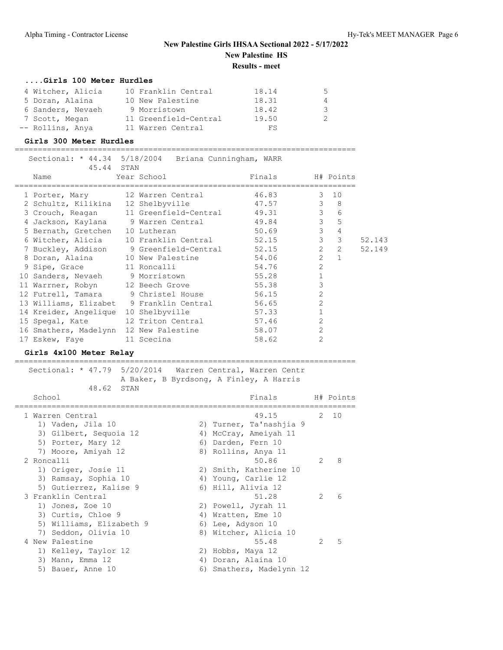### **....Girls 100 Meter Hurdles**

| 4 Witcher, Alicia | 10 Franklin Central   | 18.14 | $\mathcal{L}$ |
|-------------------|-----------------------|-------|---------------|
| 5 Doran, Alaina   | 10 New Palestine      | 18.31 | 4             |
| 6 Sanders, Nevaeh | 9 Morristown          | 18.42 | $\mathcal{S}$ |
| 7 Scott, Megan    | 11 Greenfield-Central | 19.50 | 2.            |
| -- Rollins, Anya  | 11 Warren Central     | FS    |               |

Sectional: \* 44.34 5/18/2004 Briana Cunningham, WARR

### **Girls 300 Meter Hurdles**

==========================================================================

| 45.44 STAN                               |                                         |             |                |               |        |
|------------------------------------------|-----------------------------------------|-------------|----------------|---------------|--------|
| Name                                     | Year School                             | Finals      |                | H# Points     |        |
| 1 Porter, Mary                           | 12 Warren Central 46.83                 | $3\quad 10$ |                |               |        |
| 2 Schultz, Kilikina                      | 12 Shelbyville                          | 47.57       | $\mathbf{3}$   | - 8           |        |
| 3 Crouch, Reagan                         | 11 Greenfield-Central                   | 49.31       | $\mathcal{E}$  | 6             |        |
| 4 Jackson, Kaylana 9 Warren Central      |                                         | 49.84       | $\mathcal{S}$  | 5             |        |
| 5 Bernath, Gretchen                      | 10 Lutheran                             | 50.69       | $\mathcal{S}$  | 4             |        |
| 6 Witcher, Alicia                        | 10 Franklin Central                     | 52.15       | $\mathcal{S}$  | 3             | 52.143 |
|                                          | 7 Buckley, Addison 9 Greenfield-Central | 52.15       | $2^{\circ}$    | $\mathcal{L}$ | 52.149 |
|                                          | 8 Doran, Alaina 10 New Palestine        | 54.06       | $\overline{2}$ |               |        |
| 9 Sipe, Grace 11 Roncalli                |                                         | 54.76       | $\overline{2}$ |               |        |
| 10 Sanders, Nevaeh 9 Morristown          |                                         | 55.28       |                |               |        |
| 11 Warrner, Robyn 12 Beech Grove         |                                         | 55.38       | 3              |               |        |
|                                          | 12 Futrell, Tamara 9 Christel House     | 56.15       | $\overline{2}$ |               |        |
| 13 Williams, Elizabet 9 Franklin Central |                                         | 56.65       | $\overline{2}$ |               |        |
| 14 Kreider, Angelique                    | 10 Shelbyville                          | 57.33       |                |               |        |
| 15 Spegal, Kate                          | 12 Triton Central                       | 57.46       | $\overline{2}$ |               |        |
| 16 Smathers, Madelynn                    | 12 New Palestine                        | 58.07       | $\overline{2}$ |               |        |
| 17 Eskew, Faye                           | 11 Scecina                              | 58.62       | $\overline{2}$ |               |        |

#### **Girls 4x100 Meter Relay**

==========================================================================

 Sectional: \* 47.79 5/20/2014 Warren Central, Warren Centr A Baker, B Byrdsong, A Finley, A Harris 48.62 STAN School **Finals** H# Points ========================================================================== 1 Warren Central 49.15 2 10 1) Vaden, Jila 10 2) Turner, Ta'nashjia 9 3) Gilbert, Sequoia 12 4) McCray, Ameiyah 11 5) Porter, Mary 12 6) Darden, Fern 10

7) Moore, Amiyah 12 8) Rollins, Anya 11 2 Roncalli 50.86 2 8 1) Origer, Josie 11 2) Smith, Katherine 10 3) Ramsay, Sophia 10 4) Young, Carlie 12 5) Gutierrez, Kalise 9 (6) Hill, Alivia 12 3 Franklin Central 51.28 2 6 1) Jones, Zoe 10 2) Powell, Jyrah 11 3) Curtis, Chloe 9 4) Wratten, Eme 10 5) Williams, Elizabeth 9 (6) Lee, Adyson 10 7) Seddon, Olivia 10 8) Witcher, Alicia 10 4 New Palestine 2 2 5 1) Kelley, Taylor 12 2) Hobbs, Maya 12 3) Mann, Emma 12 (a) 4) Doran, Alaina 10 5) Bauer, Anne 10 6) Smathers, Madelynn 12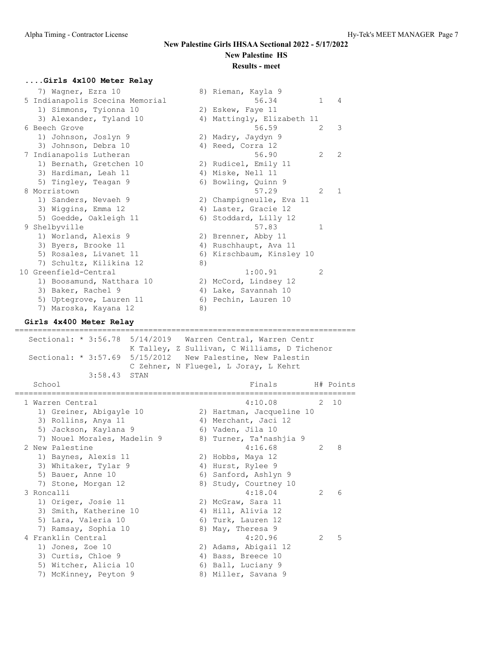## **....Girls 4x100 Meter Relay**

| 7) Wagner, Ezra 10                   | 8) Rieman, Kayla 9                      |
|--------------------------------------|-----------------------------------------|
| 5 Indianapolis Scecina Memorial      | 56.34<br>$\mathbf{1}$<br>4              |
| 1) Simmons, Tyionna 10               | 2) Eskew, Faye 11                       |
| 3) Alexander, Tyland 10              | 4) Mattingly, Elizabeth 11              |
| 6 Beech Grove                        | 56.59<br>3<br>2                         |
| 1) Johnson, Joslyn 9                 | 2) Madry, Jaydyn 9                      |
| 3) Johnson, Debra 10                 | 4) Reed, Corra 12                       |
| 7 Indianapolis Lutheran              | 56.90<br>$\mathcal{L}$<br>$\mathcal{L}$ |
| 1) Bernath, Gretchen 10              | 2) Rudicel, Emily 11                    |
| 3) Hardiman, Leah 11                 | 4) Miske, Nell 11                       |
| 5) Tingley, Teagan 9                 | 6) Bowling, Quinn 9                     |
| 8 Morristown                         | 57.29<br>$\mathcal{L}$<br>1             |
| 1) Sanders, Nevaeh 9                 | 2) Champigneulle, Eva 11                |
| 3) Wiggins, Emma 12                  | 4) Laster, Gracie 12                    |
| 5) Goedde, Oakleigh 11               | 6) Stoddard, Lilly 12                   |
| 9 Shelbyville                        | 57.83<br>1                              |
| 1) Worland, Alexis 9                 | 2) Brenner, Abby 11                     |
| 3) Byers, Brooke 11                  | 4) Ruschhaupt, Ava 11                   |
| 5) Rosales, Livanet 11               | 6) Kirschbaum, Kinsley 10               |
| 7) Schultz, Kilikina 12              | 8)                                      |
| 10 Greenfield-Central                | 1:00.91<br>$\overline{2}$               |
| 1) Boosamund, Natthara 10            | 2) McCord, Lindsey 12                   |
| 3) Baker, Rachel 9                   | 4) Lake, Savannah 10                    |
| 5) Uptegrove, Lauren 11              | 6) Pechin, Lauren 10                    |
| 7) Maroska, Kayana 12                | 8)                                      |
| Girls 4x400 Meter Relay              |                                         |
| ===================<br>============= |                                         |
| Sectional: * 3:56.78 5/14/2019       | Warren Central, Warren Centr            |

| nerrate <sup>+</sup><br>J . J U . 7 U                                                                                      | J/II/ZVIJ WALLEN CENCLAI, WALLEN CENCL<br>K Talley, Z Sullivan, C Williams, D Tichenor<br>Sectional: * 3:57.69 5/15/2012 New Palestine, New Palestin<br>C Zehner, N Fluegel, L Joray, L Kehrt |  |
|----------------------------------------------------------------------------------------------------------------------------|-----------------------------------------------------------------------------------------------------------------------------------------------------------------------------------------------|--|
| 3:58.43 STAN<br>School                                                                                                     | Finals H# Points                                                                                                                                                                              |  |
| 1 Warren Central<br>1) Greiner, Abigayle 10<br>3) Rollins, Anya 11<br>5) Jackson, Kaylana 9<br>7) Nouel Morales, Madelin 9 | 4:10.08<br>2, 10<br>2) Hartman, Jacqueline 10<br>4) Merchant, Jaci 12<br>6) Vaden, Jila 10<br>8) Turner, Ta'nashjia 9                                                                         |  |
| 2 New Palestine<br>1) Baynes, Alexis 11<br>3) Whitaker, Tylar 9<br>5) Bauer, Anne 10<br>7) Stone, Morgan 12                | 4:16.68<br>8<br>$\mathcal{L}$<br>2) Hobbs, Maya 12<br>4) Hurst, Rylee 9<br>6) Sanford, Ashlyn 9<br>8) Study, Courtney 10                                                                      |  |
| 3 Roncalli<br>1) Origer, Josie 11<br>3) Smith, Katherine 10<br>5) Lara, Valeria 10<br>7) Ramsay, Sophia 10                 | 4:18.04<br>2<br>6<br>2) McGraw, Sara 11<br>4) Hill, Alivia 12<br>6) Turk, Lauren 12<br>8) May, Theresa 9                                                                                      |  |
| 4 Franklin Central<br>1) Jones, Zoe 10<br>3) Curtis, Chloe 9<br>5) Witcher, Alicia 10<br>7) McKinney, Peyton 9             | 4:20.96<br>5<br>2<br>2) Adams, Abigail 12<br>4) Bass, Breece 10<br>6) Ball, Luciany 9<br>8) Miller, Savana 9                                                                                  |  |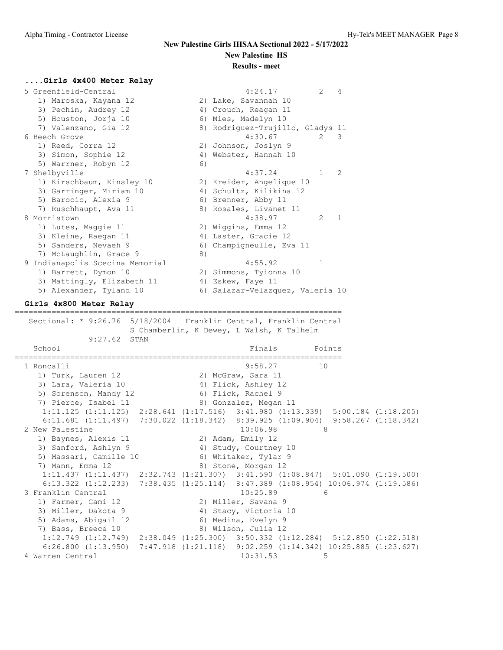# **....Girls 4x400 Meter Relay**

| 5 Greenfield-Central            | $\mathcal{L}$<br>4:24.17<br>4            |
|---------------------------------|------------------------------------------|
| 1) Maroska, Kayana 12           | 2) Lake, Savannah 10                     |
| 3) Pechin, Audrey 12            | 4) Crouch, Reagan 11                     |
| 5) Houston, Jorja 10            | 6) Mies, Madelyn 10                      |
| 7) Valenzano, Gia 12            | 8) Rodriquez-Trujillo, Gladys 11         |
| 6 Beech Grove                   | 4:30.67<br>2<br>3                        |
| 1) Reed, Corra 12               | 2) Johnson, Joslyn 9                     |
| 3) Simon, Sophie 12             | 4) Webster, Hannah 10                    |
| 5) Warrner, Robyn 12            | 6)                                       |
| 7 Shelbyville                   | $\mathcal{L}$<br>4:37.24<br>$\mathbf{1}$ |
| 1) Kirschbaum, Kinsley 10       | 2) Kreider, Angelique 10                 |
| 3) Garringer, Miriam 10         | 4) Schultz, Kilikina 12                  |
| 5) Barocio, Alexia 9            | 6) Brenner, Abby 11                      |
| 7) Ruschhaupt, Ava 11           | 8) Rosales, Livanet 11                   |
| 8 Morristown                    | 4:38.97<br>$\mathbf{1}$<br>$\mathcal{L}$ |
| 1) Lutes, Maggie 11             | 2) Wiggins, Emma 12                      |
| 3) Kleine, Raegan 11            | 4) Laster, Gracie 12                     |
| 5) Sanders, Nevaeh 9            | 6) Champigneulle, Eva 11                 |
| 7) McLaughlin, Grace 9          | 8)                                       |
| 9 Indianapolis Scecina Memorial | 4:55.92<br>1                             |
| 1) Barrett, Dymon 10            | 2) Simmons, Tyionna 10                   |
| 3) Mattingly, Elizabeth 11      | 4) Eskew, Faye 11                        |
| 5) Alexander, Tyland 10         | 6) Salazar-Velazquez, Valeria 10         |

=======================================================================

### **Girls 4x800 Meter Relay**

 Sectional: \* 9:26.76 5/18/2004 Franklin Central, Franklin Central S Chamberlin, K Dewey, L Walsh, K Talhelm 9:27.62 STAN School **Finals** Points Points Points Points Points Points Points Points Points Points Points Points Points Points Points Points Points Points Points Points Points Points Points Points Points Points Points Points Points Poi ======================================================================= 1 Roncalli 9:58.27 10 1) Turk, Lauren 12 2) McGraw, Sara 11 3) Lara, Valeria 10 4) Flick, Ashley 12 5) Sorenson, Mandy 12 6) Flick, Rachel 9 7) Pierce, Isabel 11 and 8) Gonzalez, Megan 11 1:11.125 (1:11.125) 2:28.641 (1:17.516) 3:41.980 (1:13.339) 5:00.184 (1:18.205) 6:11.681 (1:11.497) 7:30.022 (1:18.342) 8:39.925 (1:09.904) 9:58.267 (1:18.342) 2 New Palestine 2 2 New Palestine 2 2 New York 10:06.98 1) Baynes, Alexis 11 2) Adam, Emily 12 3) Sanford, Ashlyn 9 4) Study, Courtney 10 5) Massari, Camille 10 6) Whitaker, Tylar 9 7) Mann, Emma 12 8) Stone, Morgan 12 1:11.437 (1:11.437) 2:32.743 (1:21.307) 3:41.590 (1:08.847) 5:01.090 (1:19.500) 6:13.322 (1:12.233) 7:38.435 (1:25.114) 8:47.389 (1:08.954) 10:06.974 (1:19.586) 3 Franklin Central 10:25.89 6 1) Farmer, Cami 12 2) Miller, Savana 9 3) Miller, Dakota 9 4) Stacy, Victoria 10 5) Adams, Abigail 12 6) Medina, Evelyn 9 7) Bass, Breece 10 8) Wilson, Julia 12 1:12.749 (1:12.749) 2:38.049 (1:25.300) 3:50.332 (1:12.284) 5:12.850 (1:22.518) 6:26.800 (1:13.950) 7:47.918 (1:21.118) 9:02.259 (1:14.342) 10:25.885 (1:23.627) 4 Warren Central 10:31.53 5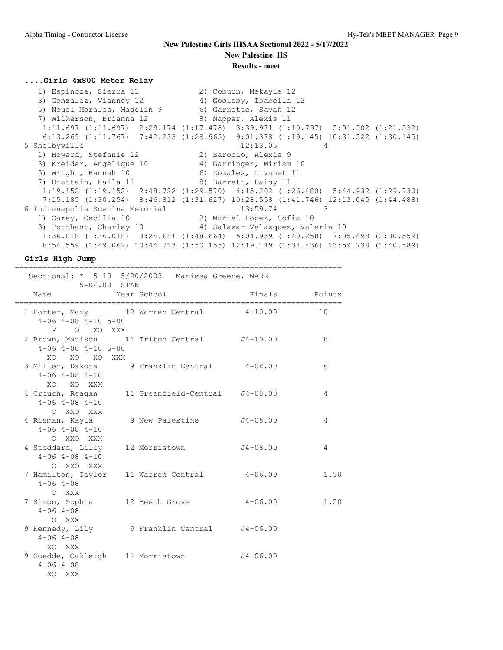### **....Girls 4x800 Meter Relay**

 1) Espinoza, Sierra 11 2) Coburn, Makayla 12 3) Gonzalez, Vianney 12 4) Goolsby, Isabella 12 5) Nouel Morales, Madelin 9 6) Garnette, Savah 12 7) Wilkerson, Brianna 12 8) Napper, Alexis 11 1:11.697 (1:11.697) 2:29.174 (1:17.478) 3:39.971 (1:10.797) 5:01.502 (1:21.532) 6:13.269 (1:11.767) 7:42.233 (1:28.965) 9:01.378 (1:19.145) 10:31.522 (1:30.145) 5 Shelbyville 12:13.05 4 1) Howard, Stefanie 12 (2) Barocio, Alexia 9 3) Kreider, Angelique 10 4) Garringer, Miriam 10 5) Wright, Hannah 10 6) Rosales, Livanet 11 7) Brattain, Kaila 11 1888 89 Barrett, Daisy 11 1:19.152 (1:19.152) 2:48.722 (1:29.570) 4:15.202 (1:26.480) 5:44.932 (1:29.730) 7:15.185 (1:30.254) 8:46.812 (1:31.627) 10:28.558 (1:41.746) 12:13.045 (1:44.488) 6 Indianapolis Scecina Memorial 13:59.74 3 1) Carey, Cecilia 10 2) Muriel Lopez, Sofia 10 3) Potthast, Charley 10 4) Salazar-Velazquez, Valeria 10 1:36.018 (1:36.018) 3:24.681 (1:48.664) 5:04.939 (1:40.258) 7:05.498 (2:00.559) 8:54.559 (1:49.062) 10:44.713 (1:50.155) 12:19.149 (1:34.436) 13:59.738 (1:40.589)

**Girls High Jump**

| 5-04.00 STAN                                                               | ;=========================<br>Sectional: * 5-10 5/20/2003 Mariesa Greene, WARR | ---------------------------- |      |
|----------------------------------------------------------------------------|--------------------------------------------------------------------------------|------------------------------|------|
| Name                                                                       | Year School                                                                    | Finals Points                |      |
| $4-06$ $4-08$ $4-10$ $5-00$                                                | 1 Porter, Mary 12 Warren Central 4-10.00                                       |                              | 10   |
| P O XO XXX<br>$4-06$ $4-08$ $4-10$ $5-00$                                  | 2 Brown, Madison 11 Triton Central J4-10.00                                    |                              | 8    |
| XO<br>XO XO XXX<br>$4 - 06$ $4 - 08$ $4 - 10$                              | 3 Miller, Dakota 9 Franklin Central 4-08.00                                    |                              | 6    |
| XO XO XXX<br>$4 - 06$ $4 - 08$ $4 - 10$                                    | 4 Crouch, Reagan 11 Greenfield-Central J4-08.00                                |                              | 4    |
| O XXO XXX<br>4 Rieman, Kayla<br>$4 - 06$ $4 - 08$ $4 - 10$                 | 9 New Palestine 54-08.00                                                       |                              | 4    |
| O XXO XXX<br>4 Stoddard, Lilly 12 Morristown<br>$4 - 06$ $4 - 08$ $4 - 10$ |                                                                                | J4-08.00                     | 4    |
| O XXO XXX<br>$4 - 06$ $4 - 08$                                             | 7 Hamilton, Taylor 11 Warren Central                                           | $4 - 06.00$                  | 1.50 |
| O XXX<br>$4 - 06$ $4 - 08$                                                 | 7 Simon, Sophie 12 Beech Grove                                                 | $4 - 06.00$                  | 1.50 |
| O XXX<br>$4 - 06$ $4 - 08$                                                 | 9 Kennedy, Lily 9 Franklin Central 54-06.00                                    |                              |      |
| XO XXX<br>9 Goedde, Oakleigh 11 Morristown<br>$4 - 06$ $4 - 08$<br>XO XXX  |                                                                                | $J4 - 06.00$                 |      |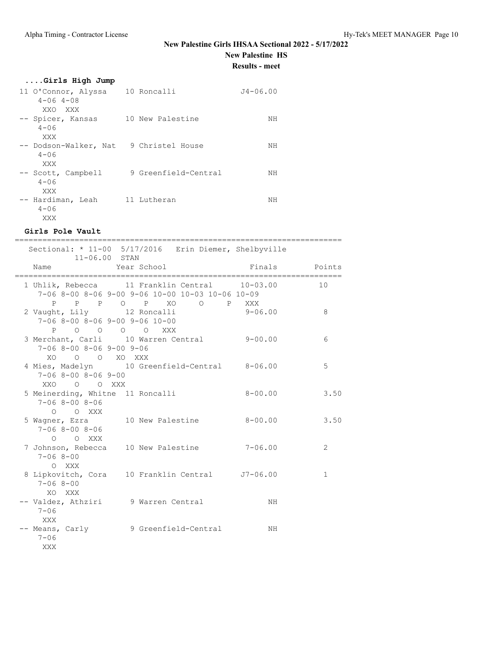## **New Palestine Girls IHSAA Sectional 2022 - 5/17/2022**

# **New Palestine HS**

**Results - meet**

## **....Girls High Jump**

| 11 O'Connor, Alyssa<br>$4 - 06$ $4 - 08$<br>XXO XXX | 10 Roncalli          | $J4 - 06.00$ |
|-----------------------------------------------------|----------------------|--------------|
| -- Spicer, Kansas<br>$4 - 06$<br>XXX                | 10 New Palestine     | NΗ           |
| -- Dodson-Walker, Nat<br>$4 - 06$<br>XXX            | 9 Christel House     | NН           |
| -- Scott, Campbell<br>$4 - 06$<br>XXX               | 9 Greenfield-Central | NΗ           |
| -- Hardiman, Leah<br>$4 - 06$<br>XXX                | 11 Lutheran          | NΗ           |

### **Girls Pole Vault**

| Sectional: * 11-00 5/17/2016 Erin Diemer, Shelbyville                                                                     | ===========<br>11-06.00 STAN |             |               |      |
|---------------------------------------------------------------------------------------------------------------------------|------------------------------|-------------|---------------|------|
| Name                                                                                                                      |                              | Year School | Finals Points |      |
| 1 Uhlik, Rebecca 11 Franklin Central 10-03.00<br>7-06 8-00 8-06 9-00 9-06 10-00 10-03 10-06 10-09<br>P P P O P XO O P XXX |                              |             |               | 10   |
| 2 Vaught, Lily 12 Roncalli<br>$7-06$ 8-00 8-06 9-00 9-06 10-00<br>P O O O O XXX                                           |                              |             | $9 - 06.00$   | 8    |
| 3 Merchant, Carli 10 Warren Central 9-00.00<br>$7-06$ 8-00 8-06 9-00 9-06<br>XO O O XO XXX                                |                              |             |               | 6    |
| 4 Mies, Madelyn 10 Greenfield-Central 8-06.00<br>$7 - 068 - 008 - 069 - 00$<br>XXO O O XXX                                |                              |             |               | 5    |
| 5 Meinerding, Whitne 11 Roncalli<br>$7 - 068 - 008 - 06$<br>$O$ $O$ XXX                                                   |                              |             | $8 - 00.00$   | 3.50 |
| 5 Wagner, Ezra 10 New Palestine<br>$7 - 068 - 008 - 06$<br>O O XXX                                                        |                              |             | $8 - 00.00$   | 3.50 |
| 7 Johnson, Rebecca 10 New Palestine<br>$7 - 068 - 00$<br>O XXX                                                            |                              |             | $7 - 06.00$   | 2    |
| 8 Lipkovitch, Cora 10 Franklin Central J7-06.00<br>$7 - 068 - 00$<br>XO XXX                                               |                              |             |               | 1    |
| -- Valdez, Athziri 9 Warren Central<br>$7 - 06$                                                                           |                              |             | NH            |      |
| XXX<br>-- Means, Carly 9 Greenfield-Central<br>$7 - 06$<br>XXX                                                            |                              |             | NH            |      |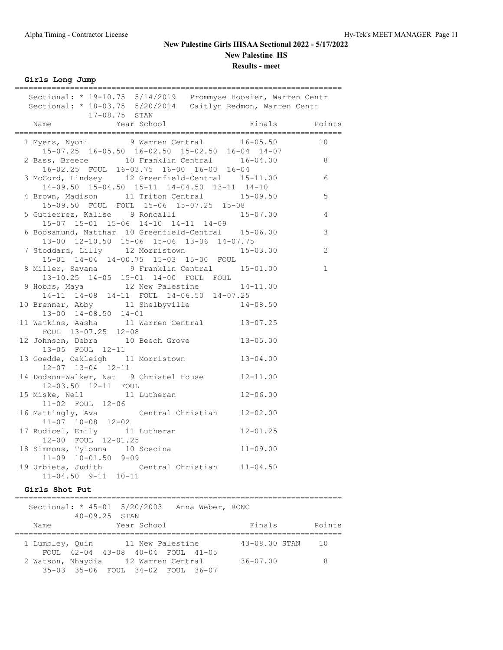**Girls Long Jump**

| Sectional: * 19-10.75 5/14/2019 Prommyse Hoosier, Warren Centr<br>Sectional: * 18-03.75 5/20/2014 Caitlyn Redmon, Warren Centr<br>17-08.75 STAN                                                                                        |              |                |
|----------------------------------------------------------------------------------------------------------------------------------------------------------------------------------------------------------------------------------------|--------------|----------------|
| The corresponding to the series of the series of the series of the series of the series of the series of the series of the series of the series of the series of the series of the series of the series of the series of the s<br>Name |              |                |
| 1 Myers, Nyomi 9 Warren Central 16-05.50 10<br>$15-07.25$ 16-05.50 16-02.50 15-02.50 16-04 14-07                                                                                                                                       |              |                |
| 2 Bass, Breece 10 Franklin Central 16-04.00 8<br>16-02.25 FOUL 16-03.75 16-00 16-00 16-04                                                                                                                                              |              |                |
| 16-02.25 FOUL 16-03.75 16-00 16-00 16-04<br>3 McCord, Lindsey 12 Greenfield-Central 15-11.00 6<br>14-09.50 15-04.50 15-11 14-04.50 13-11 14-10                                                                                         |              |                |
| 4 Brown, Madison 11 Triton Central 15-09.50 5<br>15-09.50 FOUL FOUL 15-06 15-07.25 15-08                                                                                                                                               |              |                |
| 5 Gutierrez, Kalise 9 Roncalli 15-07.00<br>15-07 15-01 15-06 14-10 14-11 14-09                                                                                                                                                         |              | $\overline{4}$ |
| 6 Boosamund, Natthar 10 Greenfield-Central 15-06.00<br>13-00 12-10.50 15-06 15-06 13-06 14-07.75                                                                                                                                       |              | $\mathsf 3$    |
| 7 Stoddard, Lilly 12 Morristown<br>15-01 14-04 14-00.75 15-03 15-00 FOUL                                                                                                                                                               | $15 - 03.00$ | 2              |
| 8 Miller, Savana 9 Franklin Central 15-01.00<br>13-10.25 14-05 15-01 14-00 FOUL FOUL                                                                                                                                                   |              | $\mathbf 1$    |
| 9 Hobbs, Maya 12 New Palestine 14-11.00<br>14-11 14-08 14-11 FOUL 14-06.50 14-07.25                                                                                                                                                    |              |                |
| 10 Brenner, Abby 11 Shelbyville 14-08.50<br>$13-00$ $14-08.50$ $14-01$                                                                                                                                                                 |              |                |
| 11 Watkins, Aasha 11 Warren Central 13-07.25<br>FOUL 13-07.25 12-08                                                                                                                                                                    |              |                |
| 12 Johnson, Debra 10 Beech Grove 13-05.00<br>13-05 FOUL 12-11                                                                                                                                                                          |              |                |
| 13 Goedde, Oakleigh 11 Morristown<br>$12 - 07$ $13 - 04$ $12 - 11$                                                                                                                                                                     | $13 - 04.00$ |                |
| 14 Dodson-Walker, Nat 9 Christel House 12-11.00<br>12-03.50 12-11 FOUL                                                                                                                                                                 |              |                |
| 15 Miske, Nell 11 Lutheran 12-06.00<br>11-02 FOUL 12-06                                                                                                                                                                                |              |                |
| 16 Mattingly, Ava Central Christian 12-02.00<br>$11-07$ $10-08$ $12-02$                                                                                                                                                                |              |                |
| 17 Rudicel, Emily 11 Lutheran 12-01.25<br>12-00 FOUL 12-01.25                                                                                                                                                                          |              |                |
| 12-00 FOUL 12-01.25<br>18 Simmons, Tyionna 10 Scecina 11-09.00<br>$11-09$ $10-01.50$ $9-09$                                                                                                                                            |              |                |
| 19 Urbieta, Judith Central Christian 11-04.50<br>$11-04.50$ $9-11$ $10-11$                                                                                                                                                             |              |                |

### **Girls Shot Put**

|      |                   | Sectional: $*$ 45-01 5/20/2003 Anna Weber, RONC |  |               |        |
|------|-------------------|-------------------------------------------------|--|---------------|--------|
|      | $40 - 09.25$ STAN |                                                 |  |               |        |
| Name |                   | Year School                                     |  | Finals        | Points |
|      |                   |                                                 |  |               |        |
|      |                   | 1 Lumbley, Quin 11 New Palestine                |  | 43-08.00 STAN | 1 O    |
|      |                   | FOUL 42-04 43-08 40-04 FOUL 41-05               |  |               |        |
|      |                   | 2 Watson, Nhaydia 12 Warren Central             |  | $36 - 07.00$  | 8      |
|      |                   | 35-03 35-06 FOUL 34-02 FOUL 36-07               |  |               |        |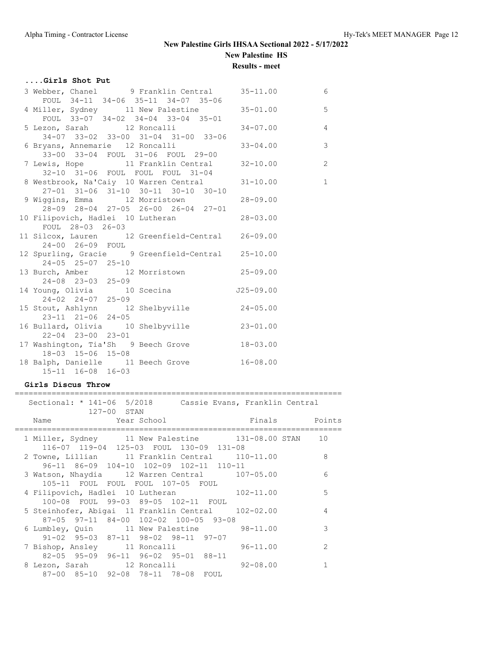**Results - meet**

## **....Girls Shot Put**

| 3 Webber, Chanel 9 Franklin Central 35-11.00      |              | 6              |
|---------------------------------------------------|--------------|----------------|
| FOUL 34-11 34-06 35-11 34-07 35-06                |              |                |
| 4 Miller, Sydney 11 New Palestine 35-01.00 5      |              |                |
| FOUL $33-07$ $34-02$ $34-04$ $33-04$ $35-01$      |              |                |
| 5 Lezon, Sarah 12 Roncalli 194-07.00 4            |              |                |
| 34-07 33-02 33-00 31-04 31-00 33-06               |              |                |
| 6 Bryans, Annemarie 12 Roncalli                   | $33 - 04.00$ | $\overline{3}$ |
| 33-00 33-04 FOUL 31-06 FOUL 29-00                 |              |                |
| 7 Lewis, Hope 11 Franklin Central 32-10.00 2      |              |                |
| 32-10 31-06 FOUL FOUL FOUL 31-04                  |              |                |
| 8 Westbrook, Na'Caiy 10 Warren Central 31-10.00   |              | $\sim$ 1       |
| 27-01 31-06 31-10 30-11 30-10 30-10               |              |                |
| 9 Wiggins, Emma 12 Morristown 28-09.00            |              |                |
| 28-09 28-04 27-05 26-00 26-04 27-01               |              |                |
| 10 Filipovich, Hadlei 10 Lutheran 10 28-03.00     |              |                |
| FOUL 28-03 26-03                                  |              |                |
| 11 Silcox, Lauren 12 Greenfield-Central 26-09.00  |              |                |
| 24-00 26-09 FOUL                                  |              |                |
| 12 Spurling, Gracie 9 Greenfield-Central 25-10.00 |              |                |
| 24-05 25-07 25-10                                 |              |                |
| 13 Burch, Amber 12 Morristown 25-09.00            |              |                |
| 24-08 23-03 25-09                                 |              |                |
| 14 Young, Olivia 10 Scecina 10 J25-09.00          |              |                |
| $24 - 02$ $24 - 07$ $25 - 09$                     |              |                |
| 15 Stout, Ashlynn 12 Shelbyville 24-05.00         |              |                |
| 23-11 21-06 24-05                                 |              |                |
| 16 Bullard, Olivia 10 Shelbyville 23-01.00        |              |                |
| $22 - 04$ $23 - 00$ $23 - 01$                     |              |                |
| 17 Washington, Tia'Sh 9 Beech Grove 18-03.00      |              |                |
| 18-03 15-06 15-08                                 |              |                |
| 18 Balph, Danielle 11 Beech Grove 16-08.00        |              |                |
| 15-11 16-08 16-03                                 |              |                |

### **Girls Discus Throw**

|  | Sectional: * 141-06 5/2018 Cassie Evans, Franklin Central                                      | 127-00 STAN |  |               |               |
|--|------------------------------------------------------------------------------------------------|-------------|--|---------------|---------------|
|  | Name Year School                                                                               |             |  | Finals Points |               |
|  | 1 Miller, Sydney 11 New Palestine 131-08.00 STAN 10<br>116-07 119-04 125-03 FOUL 130-09 131-08 |             |  |               |               |
|  | 2 Towne, Lillian 11 Franklin Central 110-11.00                                                 |             |  |               | 8             |
|  | 96-11 86-09 104-10 102-09 102-11 110-11<br>3 Watson, Nhaydia 12 Warren Central 107-05.00       |             |  |               | 6             |
|  | 105-11 FOUL FOUL FOUL 107-05 FOUL<br>4 Filipovich, Hadlei 10 Lutheran 102-11.00                |             |  |               | 5             |
|  | 100-08 FOUL 99-03 89-05 102-11 FOUL<br>5 Steinhofer, Abigai 11 Franklin Central 102-02.00      |             |  |               | 4             |
|  | 87-05 97-11 84-00 102-02 100-05 93-08<br>6 Lumbley, Quin 11 New Palestine                      |             |  | $98 - 11.00$  | 3             |
|  | $91-02$ $95-03$ $87-11$ $98-02$ $98-11$ $97-07$<br>7 Bishop, Ansley 11 Roncalli                |             |  | $96 - 11.00$  | $\mathcal{L}$ |
|  | 82-05 95-09 96-11 96-02 95-01 88-11<br>8 Lezon, Sarah 12 Roncalli                              |             |  | $92 - 08.00$  |               |
|  | 87-00 85-10 92-08 78-11 78-08 FOUL                                                             |             |  |               |               |